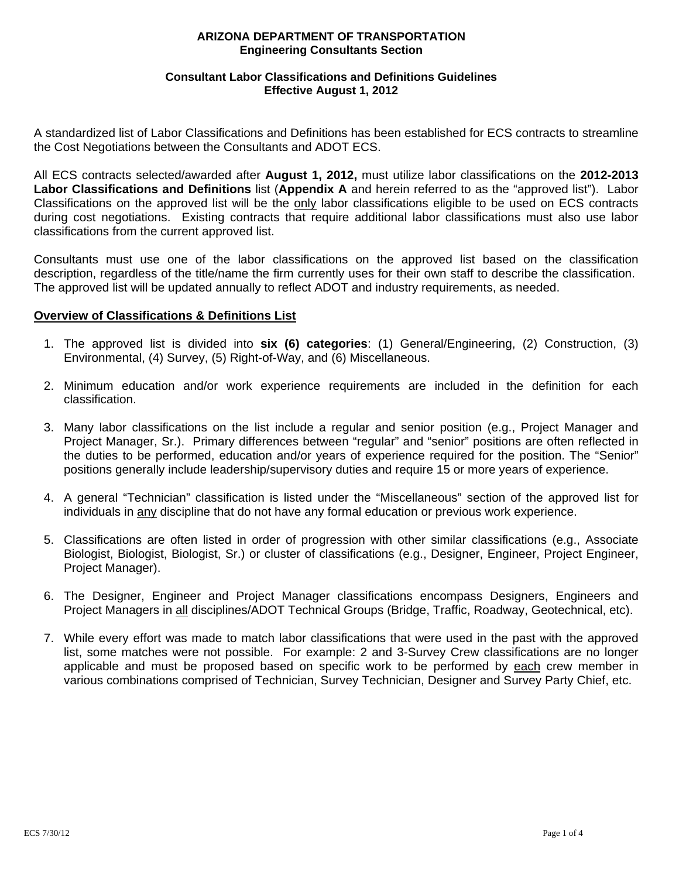# **Consultant Labor Classifications and Definitions Guidelines Effective August 1, 2012**

A standardized list of Labor Classifications and Definitions has been established for ECS contracts to streamline the Cost Negotiations between the Consultants and ADOT ECS.

All ECS contracts selected/awarded after **August 1, 2012,** must utilize labor classifications on the **2012-2013 Labor Classifications and Definitions** list (**Appendix A** and herein referred to as the "approved list"). Labor Classifications on the approved list will be the only labor classifications eligible to be used on ECS contracts during cost negotiations. Existing contracts that require additional labor classifications must also use labor classifications from the current approved list.

Consultants must use one of the labor classifications on the approved list based on the classification description, regardless of the title/name the firm currently uses for their own staff to describe the classification. The approved list will be updated annually to reflect ADOT and industry requirements, as needed.

### **Overview of Classifications & Definitions List**

- 1. The approved list is divided into **six (6) categories**: (1) General/Engineering, (2) Construction, (3) Environmental, (4) Survey, (5) Right-of-Way, and (6) Miscellaneous.
- 2. Minimum education and/or work experience requirements are included in the definition for each classification.
- 3. Many labor classifications on the list include a regular and senior position (e.g., Project Manager and Project Manager, Sr.). Primary differences between "regular" and "senior" positions are often reflected in the duties to be performed, education and/or years of experience required for the position. The "Senior" positions generally include leadership/supervisory duties and require 15 or more years of experience.
- 4. A general "Technician" classification is listed under the "Miscellaneous" section of the approved list for individuals in any discipline that do not have any formal education or previous work experience.
- 5. Classifications are often listed in order of progression with other similar classifications (e.g., Associate Biologist, Biologist, Biologist, Sr.) or cluster of classifications (e.g., Designer, Engineer, Project Engineer, Project Manager).
- 6. The Designer, Engineer and Project Manager classifications encompass Designers, Engineers and Project Managers in all disciplines/ADOT Technical Groups (Bridge, Traffic, Roadway, Geotechnical, etc).
- 7. While every effort was made to match labor classifications that were used in the past with the approved list, some matches were not possible. For example: 2 and 3-Survey Crew classifications are no longer applicable and must be proposed based on specific work to be performed by each crew member in various combinations comprised of Technician, Survey Technician, Designer and Survey Party Chief, etc.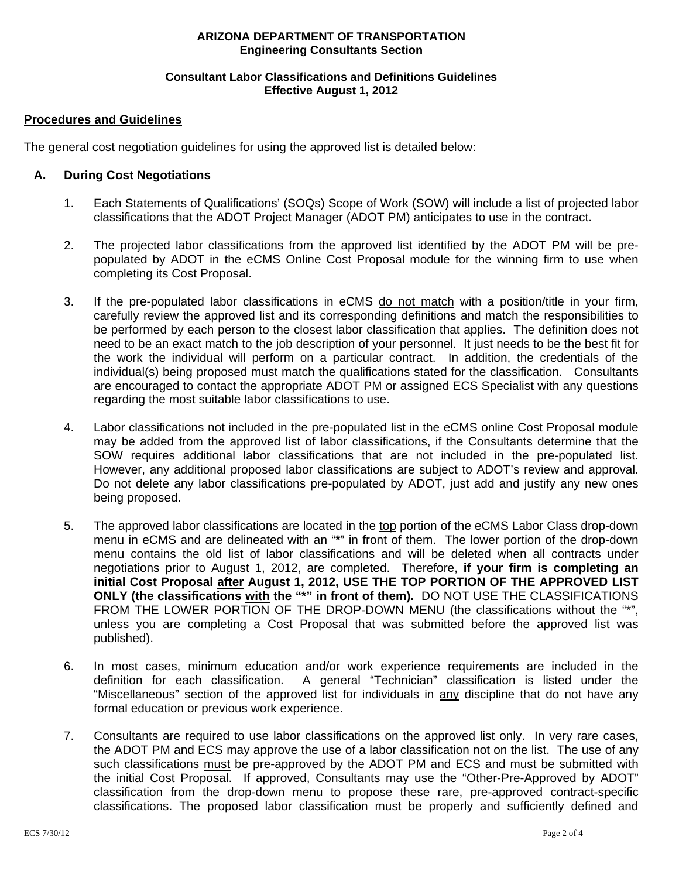# **Consultant Labor Classifications and Definitions Guidelines Effective August 1, 2012**

# **Procedures and Guidelines**

The general cost negotiation guidelines for using the approved list is detailed below:

# **A. During Cost Negotiations**

- 1. Each Statements of Qualifications' (SOQs) Scope of Work (SOW) will include a list of projected labor classifications that the ADOT Project Manager (ADOT PM) anticipates to use in the contract.
- 2. The projected labor classifications from the approved list identified by the ADOT PM will be prepopulated by ADOT in the eCMS Online Cost Proposal module for the winning firm to use when completing its Cost Proposal.
- 3. If the pre-populated labor classifications in eCMS do not match with a position/title in your firm, carefully review the approved list and its corresponding definitions and match the responsibilities to be performed by each person to the closest labor classification that applies. The definition does not need to be an exact match to the job description of your personnel. It just needs to be the best fit for the work the individual will perform on a particular contract. In addition, the credentials of the individual(s) being proposed must match the qualifications stated for the classification. Consultants are encouraged to contact the appropriate ADOT PM or assigned ECS Specialist with any questions regarding the most suitable labor classifications to use.
- 4. Labor classifications not included in the pre-populated list in the eCMS online Cost Proposal module may be added from the approved list of labor classifications, if the Consultants determine that the SOW requires additional labor classifications that are not included in the pre-populated list. However, any additional proposed labor classifications are subject to ADOT's review and approval. Do not delete any labor classifications pre-populated by ADOT, just add and justify any new ones being proposed.
- 5. The approved labor classifications are located in the top portion of the eCMS Labor Class drop-down menu in eCMS and are delineated with an "**\***" in front of them. The lower portion of the drop-down menu contains the old list of labor classifications and will be deleted when all contracts under negotiations prior to August 1, 2012, are completed. Therefore, **if your firm is completing an initial Cost Proposal after August 1, 2012, USE THE TOP PORTION OF THE APPROVED LIST ONLY (the classifications with the "\*" in front of them).** DO NOT USE THE CLASSIFICATIONS FROM THE LOWER PORTION OF THE DROP-DOWN MENU (the classifications without the "\*", unless you are completing a Cost Proposal that was submitted before the approved list was published).
- 6. In most cases, minimum education and/or work experience requirements are included in the definition for each classification. A general "Technician" classification is listed under the "Miscellaneous" section of the approved list for individuals in any discipline that do not have any formal education or previous work experience.
- 7. Consultants are required to use labor classifications on the approved list only. In very rare cases, the ADOT PM and ECS may approve the use of a labor classification not on the list. The use of any such classifications must be pre-approved by the ADOT PM and ECS and must be submitted with the initial Cost Proposal. If approved, Consultants may use the "Other-Pre-Approved by ADOT" classification from the drop-down menu to propose these rare, pre-approved contract-specific classifications. The proposed labor classification must be properly and sufficiently defined and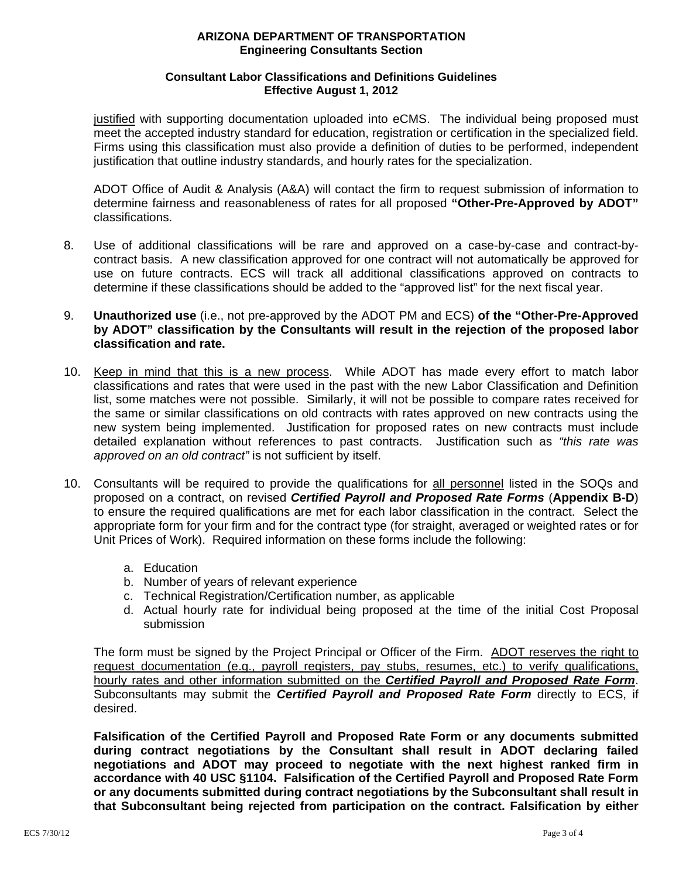# **Consultant Labor Classifications and Definitions Guidelines Effective August 1, 2012**

justified with supporting documentation uploaded into eCMS. The individual being proposed must meet the accepted industry standard for education, registration or certification in the specialized field. Firms using this classification must also provide a definition of duties to be performed, independent justification that outline industry standards, and hourly rates for the specialization.

 ADOT Office of Audit & Analysis (A&A) will contact the firm to request submission of information to determine fairness and reasonableness of rates for all proposed **"Other-Pre-Approved by ADOT"**  classifications.

- 8. Use of additional classifications will be rare and approved on a case-by-case and contract-bycontract basis. A new classification approved for one contract will not automatically be approved for use on future contracts. ECS will track all additional classifications approved on contracts to determine if these classifications should be added to the "approved list" for the next fiscal year.
- 9. **Unauthorized use** (i.e., not pre-approved by the ADOT PM and ECS) **of the "Other-Pre-Approved by ADOT" classification by the Consultants will result in the rejection of the proposed labor classification and rate.**
- 10. Keep in mind that this is a new process. While ADOT has made every effort to match labor classifications and rates that were used in the past with the new Labor Classification and Definition list, some matches were not possible. Similarly, it will not be possible to compare rates received for the same or similar classifications on old contracts with rates approved on new contracts using the new system being implemented. Justification for proposed rates on new contracts must include detailed explanation without references to past contracts. Justification such as *"this rate was approved on an old contract"* is not sufficient by itself.
- 10. Consultants will be required to provide the qualifications for all personnel listed in the SOQs and proposed on a contract, on revised *Certified Payroll and Proposed Rate Forms* (**Appendix B-D**) to ensure the required qualifications are met for each labor classification in the contract. Select the appropriate form for your firm and for the contract type (for straight, averaged or weighted rates or for Unit Prices of Work).Required information on these forms include the following:
	- a. Education
	- b. Number of years of relevant experience
	- c. Technical Registration/Certification number, as applicable
	- d. Actual hourly rate for individual being proposed at the time of the initial Cost Proposal submission

The form must be signed by the Project Principal or Officer of the Firm. ADOT reserves the right to request documentation (e.g., payroll registers, pay stubs, resumes, etc.) to verify qualifications, hourly rates and other information submitted on the *Certified Payroll and Proposed Rate Form*. Subconsultants may submit the *Certified Payroll and Proposed Rate Form* directly to ECS, if desired.

**Falsification of the Certified Payroll and Proposed Rate Form or any documents submitted during contract negotiations by the Consultant shall result in ADOT declaring failed negotiations and ADOT may proceed to negotiate with the next highest ranked firm in accordance with 40 USC §1104. Falsification of the Certified Payroll and Proposed Rate Form or any documents submitted during contract negotiations by the Subconsultant shall result in that Subconsultant being rejected from participation on the contract. Falsification by either**